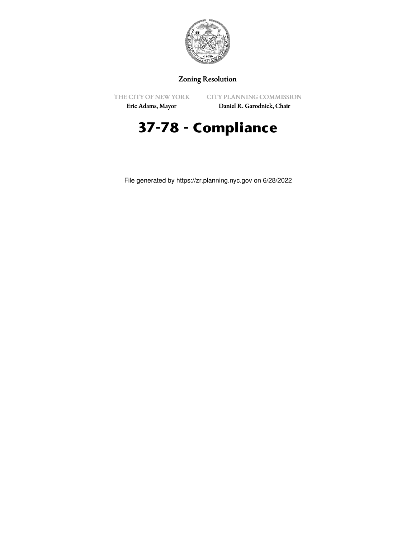

## Zoning Resolution

THE CITY OF NEW YORK

CITY PLANNING COMMISSION

Eric Adams, Mayor

Daniel R. Garodnick, Chair

## **37-78 - Compliance**

File generated by https://zr.planning.nyc.gov on 6/28/2022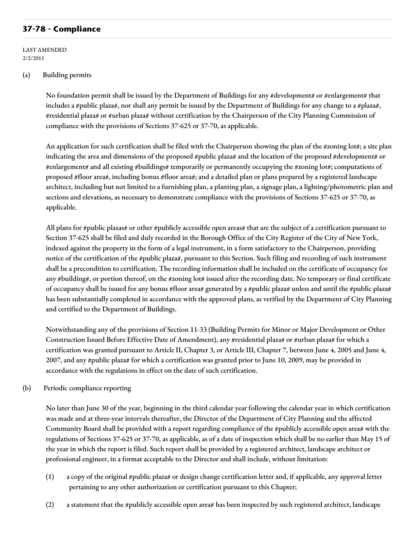## **37-78 - Compliance**

LAST AMENDED 2/2/2011

## (a) Building permits

No foundation permit shall be issued by the Department of Buildings for any #development# or #enlargement# that includes a #public plaza#, nor shall any permit be issued by the Department of Buildings for any change to a #plaza#, #residential plaza# or #urban plaza# without certification by the Chairperson of the City Planning Commission of compliance with the provisions of Sections 37-625 or 37-70, as applicable.

An application for such certification shall be filed with the Chairperson showing the plan of the #zoning lot#; a site plan indicating the area and dimensions of the proposed #public plaza# and the location of the proposed #development# or #enlargement# and all existing #buildings# temporarily or permanently occupying the #zoning lot#; computations of proposed #floor area#, including bonus #floor area#; and a detailed plan or plans prepared by a registered landscape architect, including but not limited to a furnishing plan, a planting plan, a signage plan, a lighting/photometric plan and sections and elevations, as necessary to demonstrate compliance with the provisions of Sections 37-625 or 37-70, as applicable.

All plans for #public plazas# or other #publicly accessible open areas# that are the subject of a certification pursuant to Section 37-625 shall be filed and duly recorded in the Borough Office of the City Register of the City of New York, indexed against the property in the form of a legal instrument, in a form satisfactory to the Chairperson, providing notice of the certification of the #public plaza#, pursuant to this Section. Such filing and recording of such instrument shall be a precondition to certification. The recording information shall be included on the certificate of occupancy for any #building#, or portion thereof, on the #zoning lot# issued after the recording date. No temporary or final certificate of occupancy shall be issued for any bonus #floor area# generated by a #public plaza# unless and until the #public plaza# has been substantially completed in accordance with the approved plans, as verified by the Department of City Planning and certified to the Department of Buildings.

Notwithstanding any of the provisions of Section 11-33 (Building Permits for Minor or Major Development or Other Construction Issued Before Effective Date of Amendment), any #residential plaza# or #urban plaza# for which a certification was granted pursuant to Article II, Chapter 3, or Article III, Chapter 7, between June 4, 2005 and June 4, 2007, and any #public plaza# for which a certification was granted prior to June 10, 2009, may be provided in accordance with the regulations in effect on the date of such certification.

(b) Periodic compliance reporting

No later than June 30 of the year, beginning in the third calendar year following the calendar year in which certification was made and at three-year intervals thereafter, the Director of the Department of City Planning and the affected Community Board shall be provided with a report regarding compliance of the #publicly accessible open area# with the regulations of Sections 37-625 or 37-70, as applicable, as of a date of inspection which shall be no earlier than May 15 of the year in which the report is filed. Such report shall be provided by a registered architect, landscape architect or professional engineer, in a format acceptable to the Director and shall include, without limitation:

- (1) a copy of the original #public plaza# or design change certification letter and, if applicable, any approval letter pertaining to any other authorization or certification pursuant to this Chapter;
- (2) a statement that the #publicly accessible open area# has been inspected by such registered architect, landscape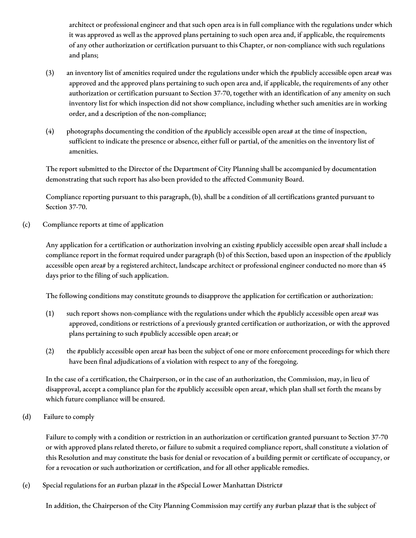architect or professional engineer and that such open area is in full compliance with the regulations under which it was approved as well as the approved plans pertaining to such open area and, if applicable, the requirements of any other authorization or certification pursuant to this Chapter, or non-compliance with such regulations and plans;

- (3) an inventory list of amenities required under the regulations under which the #publicly accessible open area# was approved and the approved plans pertaining to such open area and, if applicable, the requirements of any other authorization or certification pursuant to Section 37-70, together with an identification of any amenity on such inventory list for which inspection did not show compliance, including whether such amenities are in working order, and a description of the non-compliance;
- (4) photographs documenting the condition of the #publicly accessible open area# at the time of inspection, sufficient to indicate the presence or absence, either full or partial, of the amenities on the inventory list of amenities.

The report submitted to the Director of the Department of City Planning shall be accompanied by documentation demonstrating that such report has also been provided to the affected Community Board.

Compliance reporting pursuant to this paragraph, (b), shall be a condition of all certifications granted pursuant to Section 37-70.

(c) Compliance reports at time of application

Any application for a certification or authorization involving an existing #publicly accessible open area# shall include a compliance report in the format required under paragraph (b) of this Section, based upon an inspection of the #publicly accessible open area# by a registered architect, landscape architect or professional engineer conducted no more than 45 days prior to the filing of such application.

The following conditions may constitute grounds to disapprove the application for certification or authorization:

- (1) such report shows non-compliance with the regulations under which the #publicly accessible open area# was approved, conditions or restrictions of a previously granted certification or authorization, or with the approved plans pertaining to such #publicly accessible open area#; or
- (2) the #publicly accessible open area# has been the subject of one or more enforcement proceedings for which there have been final adjudications of a violation with respect to any of the foregoing.

In the case of a certification, the Chairperson, or in the case of an authorization, the Commission, may, in lieu of disapproval, accept a compliance plan for the #publicly accessible open area#, which plan shall set forth the means by which future compliance will be ensured.

(d) Failure to comply

Failure to comply with a condition or restriction in an authorization or certification granted pursuant to Section 37-70 or with approved plans related thereto, or failure to submit a required compliance report, shall constitute a violation of this Resolution and may constitute the basis for denial or revocation of a building permit or certificate of occupancy, or for a revocation or such authorization or certification, and for all other applicable remedies.

(e) Special regulations for an #urban plaza# in the #Special Lower Manhattan District#

In addition, the Chairperson of the City Planning Commission may certify any #urban plaza# that is the subject of